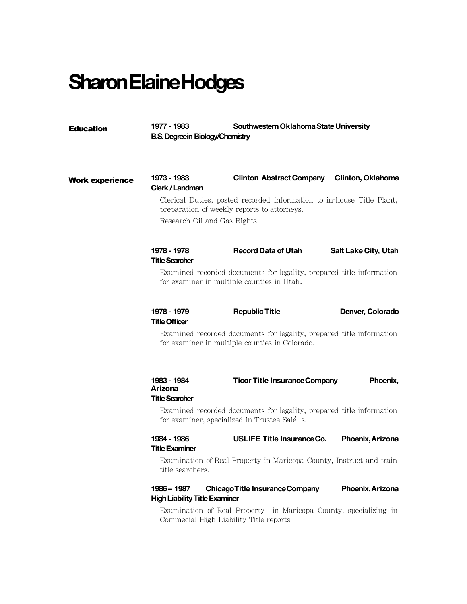# **SharonElaineHodges**

| <b>Education</b>       | Southwestern Oklahoma State University<br>1977 - 1983<br><b>B.S. Degreein Biology/Chemistry</b>                                                     |                                        |                             |
|------------------------|-----------------------------------------------------------------------------------------------------------------------------------------------------|----------------------------------------|-----------------------------|
| <b>Work experience</b> | 1973 - 1983<br>Clerk/Landman                                                                                                                        | <b>Clinton Abstract Company</b>        | Clinton, Oklahoma           |
|                        | Clerical Duties, posted recorded information to in-house Title Plant,<br>preparation of weekly reports to attorneys.<br>Research Oil and Gas Rights |                                        |                             |
|                        | 1978 - 1978<br><b>Title Searcher</b>                                                                                                                | <b>Record Data of Utah</b>             | <b>Salt Lake City, Utah</b> |
|                        | Examined recorded documents for legality, prepared title information<br>for examiner in multiple counties in Utah.                                  |                                        |                             |
|                        | 1978 - 1979<br><b>Title Officer</b>                                                                                                                 | <b>Republic Title</b>                  | Denver, Colorado            |
|                        | Examined recorded documents for legality, prepared title information<br>for examiner in multiple counties in Colorado.                              |                                        |                             |
|                        | 1983 - 1984<br>Arizona<br><b>Title Searcher</b>                                                                                                     | <b>Ticor Title Insurance Company</b>   | Phoenix,                    |
|                        | Examined recorded documents for legality, prepared title information<br>for examiner, specialized in Trustee Sale s.                                |                                        |                             |
|                        | 1984 - 1986<br>Title Examiner                                                                                                                       | <b>USLIFE Title Insurance Co.</b>      | Phoenix, Arizona            |
|                        | Examination of Real Property in Maricopa County, Instruct and train<br>title searchers.                                                             |                                        |                             |
|                        | 1986 - 1987<br><b>High Liability Title Examiner</b>                                                                                                 | <b>Chicago Title Insurance Company</b> | Phoenix, Arizona            |
|                        | Examination of Real Property in Maricopa County, specializing in<br>Commecial High Liability Title reports                                          |                                        |                             |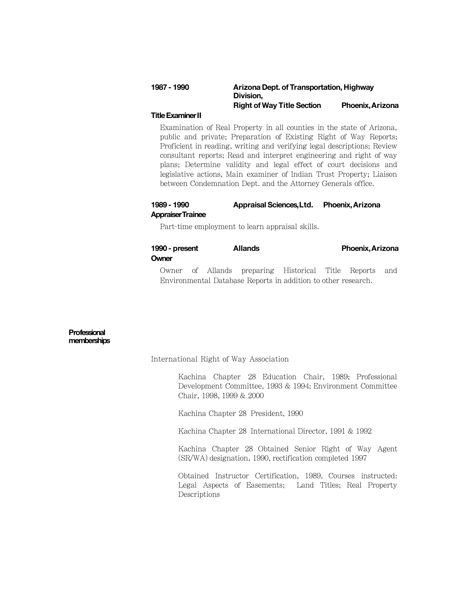## **1987-1990 Arizona Dept. of Transportation, Highway Division, Right of Way Title Section Phoenix,Arizona**

#### **Title Examiner II**

Examination of Real Property in all counties in the state of Arizona, public and private; Preparation of Existing Right of Way Reports; Proficient in reading, writing and verifying legal descriptions; Review consultant reports; Read and interpret engineering and right of way plans; Determine validity and legal effect of court decisions and legislative actions, Main examiner of Indian Trust Property; Liaison between Condemnation Dept. and the Attorney Generals office.

## **1989-1990 Appraisal Sciences,Ltd. Phoenix,Arizona AppraiserTrainee**

Part-time employment to learn appraisal skills.

## **1990- present Allands Phoenix,Arizona Owner**

Owner of Allands preparing Historical Title Reports and Environmental Database Reports in addition to other research.

### **Professional memberships**

International Right of Way Association

Kachina Chapter 28 Education Chair, 1989; Professional Development Committee, 1993 & 1994; Environment Committee Chair, 1998, 1999 & 2000

Kachina Chapter 28 President, 1990

Kachina Chapter 28 International Director, 1991 & 1992

Kachina Chapter 28 Obtained Senior Right of Way Agent (SR/WA) designation, 1990, rectification completed 1997

Obtained Instructor Certification, 1989, Courses instructed: Legal Aspects of Easements; Land Titles; Real Property Descriptions